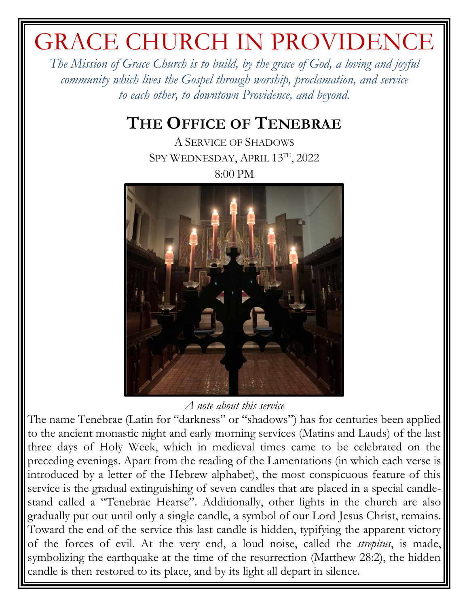# GRACE CHURCH IN PROVIDENCE

*The Mission of Grace Church is to build, by the grace of God, a loving and joyful community which lives the Gospel through worship, proclamation, and service to each other, to downtown Providence, and beyond.*

# **THE OFFICE OF TENEBRAE**

A SERVICE OF SHADOWS SPY WEDNESDAY, APRIL 13TH, 2022 8:00 PM



*A note about this service*

The name Tenebrae (Latin for "darkness" or "shadows") has for centuries been applied to the ancient monastic night and early morning services (Matins and Lauds) of the last three days of Holy Week, which in medieval times came to be celebrated on the preceding evenings. Apart from the reading of the Lamentations (in which each verse is introduced by a letter of the Hebrew alphabet), the most conspicuous feature of this service is the gradual extinguishing of seven candles that are placed in a special candlestand called a "Tenebrae Hearse". Additionally, other lights in the church are also gradually put out until only a single candle, a symbol of our Lord Jesus Christ, remains. Toward the end of the service this last candle is hidden, typifying the apparent victory of the forces of evil. At the very end, a loud noise, called the *strepitus*, is made, symbolizing the earthquake at the time of the resurrection (Matthew 28:2), the hidden candle is then restored to its place, and by its light all depart in silence.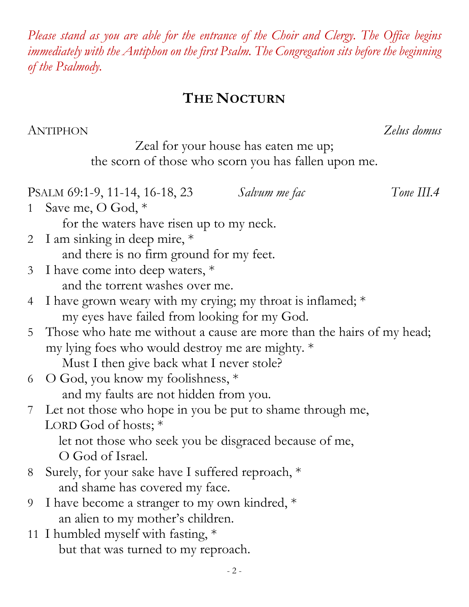- 2 - **THE NOCTURN** ANTIPHON *Zelus domus* Zeal for your house has eaten me up; the scorn of those who scorn you has fallen upon me. PSALM 69:1-9, 11-14, 16-18, 23 *Salvum me fac Tone III.4* 1 Save me, O God, \* for the waters have risen up to my neck. 2 I am sinking in deep mire, \* and there is no firm ground for my feet. 3 I have come into deep waters, \* and the torrent washes over me. 4 I have grown weary with my crying; my throat is inflamed; \* my eyes have failed from looking for my God. 5 Those who hate me without a cause are more than the hairs of my head; my lying foes who would destroy me are mighty. \* Must I then give back what I never stole? 6 O God, you know my foolishness, \* and my faults are not hidden from you. 7 Let not those who hope in you be put to shame through me, LORD God of hosts; \* let not those who seek you be disgraced because of me, O God of Israel. 8 Surely, for your sake have I suffered reproach, \* and shame has covered my face. 9 I have become a stranger to my own kindred,  $*$  an alien to my mother's children. 11 I humbled myself with fasting, \* but that was turned to my reproach.

## *Please stand as you are able for the entrance of the Choir and Clergy. The Office begins immediately with the Antiphon on the first Psalm. The Congregation sits before the beginning of the Psalmody.*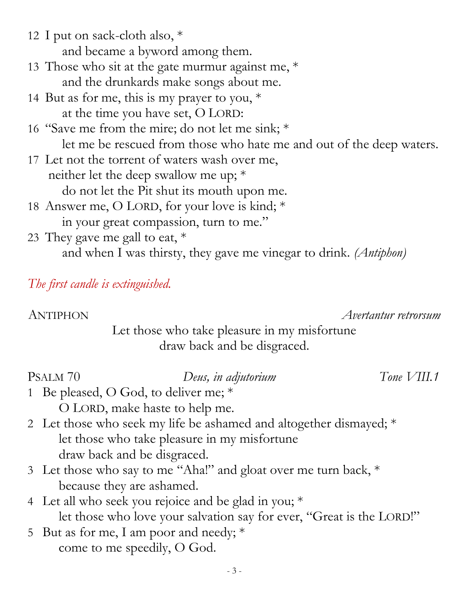and became a byword among them. 13 Those who sit at the gate murmur against me,  $*$  and the drunkards make songs about me. 14 But as for me, this is my prayer to you,  $*$  at the time you have set, O LORD: 16 "Save me from the mire; do not let me sink; \* let me be rescued from those who hate me and out of the deep waters. 17 Let not the torrent of waters wash over me, neither let the deep swallow me up; \* do not let the Pit shut its mouth upon me. 18 Answer me, O LORD, for your love is kind; \* in your great compassion, turn to me." 23 They gave me gall to eat,  $*$ and when I was thirsty, they gave me vinegar to drink. *(Antiphon)*

*The first candle is extinguished.*

12 I put on sack-cloth also, \*

ANTIPHON *Avertantur retrorsum*

Let those who take pleasure in my misfortune draw back and be disgraced.

#### PSALM 70 *Deus, in adjutorium Tone VIII.1*

- 1 Be pleased, O God, to deliver me; \* O LORD, make haste to help me.
- 2 Let those who seek my life be ashamed and altogether dismayed; \* let those who take pleasure in my misfortune draw back and be disgraced.
- 3 Let those who say to me "Aha!" and gloat over me turn back, \* because they are ashamed.
- 4 Let all who seek you rejoice and be glad in you; \* let those who love your salvation say for ever, "Great is the LORD!"
- 5 But as for me, I am poor and needy; \* come to me speedily, O God.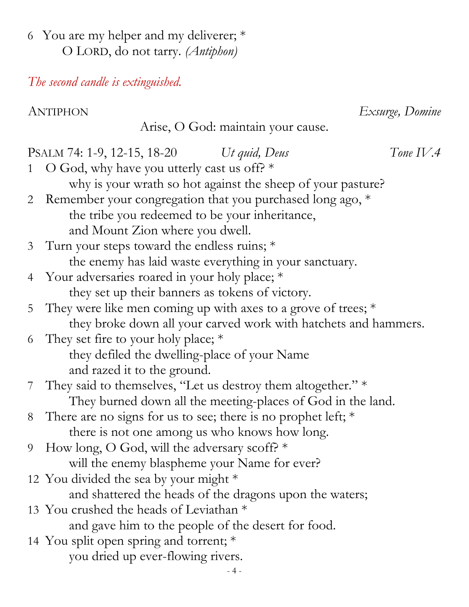6 You are my helper and my deliverer; \* O LORD, do not tarry. *(Antiphon)*

*The second candle is extinguished.*

ANTIPHON *Exsurge, Domine*

Arise, O God: maintain your cause.

PSALM 74: 1-9, 12-15, 18-20 *Ut quid, Deus Tone IV.4* 1 O God, why have you utterly cast us off?  $*$  why is your wrath so hot against the sheep of your pasture? 2 Remember your congregation that you purchased long ago, \* the tribe you redeemed to be your inheritance, and Mount Zion where you dwell. 3 Turn your steps toward the endless ruins; \* the enemy has laid waste everything in your sanctuary. 4 Your adversaries roared in your holy place; \* they set up their banners as tokens of victory. 5 They were like men coming up with axes to a grove of trees;  $*$  they broke down all your carved work with hatchets and hammers. 6 They set fire to your holy place; \* they defiled the dwelling-place of your Name and razed it to the ground. 7 They said to themselves, "Let us destroy them altogether." \* They burned down all the meeting-places of God in the land. 8 There are no signs for us to see; there is no prophet left; \* there is not one among us who knows how long. 9 How long, O God, will the adversary scoff? \* will the enemy blaspheme your Name for ever? 12 You divided the sea by your might \* and shattered the heads of the dragons upon the waters; 13 You crushed the heads of Leviathan \* and gave him to the people of the desert for food. 14 You split open spring and torrent; \* you dried up ever-flowing rivers.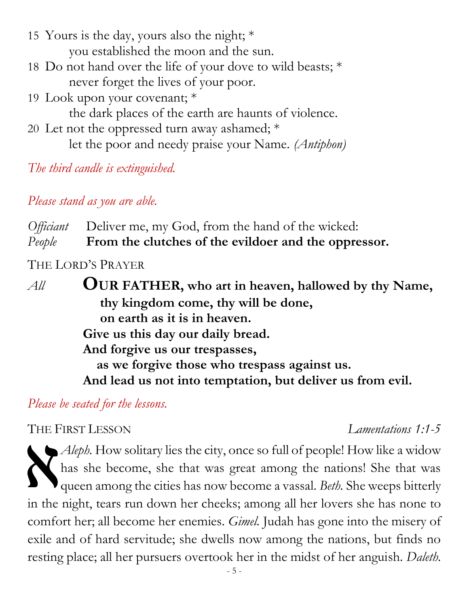- 15 Yours is the day, yours also the night; \* you established the moon and the sun.
- 18 Do not hand over the life of your dove to wild beasts; \* never forget the lives of your poor.
- 19 Look upon your covenant; \*

the dark places of the earth are haunts of violence.

20 Let not the oppressed turn away ashamed; \* let the poor and needy praise your Name. *(Antiphon)*

*The third candle is extinguished.*

*Please stand as you are able.*

*Officiant* Deliver me, my God, from the hand of the wicked: *People* **From the clutches of the evildoer and the oppressor.** 

THE LORD'S PRAYER

*All* **OUR FATHER, who art in heaven, hallowed by thy Name, thy kingdom come, thy will be done, on earth as it is in heaven. Give us this day our daily bread. And forgive us our trespasses, as we forgive those who trespass against us. And lead us not into temptation, but deliver us from evil.**

*Please be seated for the lessons.*

### THE FIRST LESSON *Lamentations 1:1-5*

*Aleph.* How solitary lies the city, once so full of people! How like a widow has she become, she that was great among the nations! She that was queen among the cities has now become a vassal. *Beth.* She weeps bitterly in the night, tears run down her cheeks; among all her lovers she has none to comfort her; all become her enemies. *Gimel.* Judah has gone into the misery of exile and of hard servitude; she dwells now among the nations, but finds no resting place; all her pursuers overtook her in the midst of her anguish. *Daleth.* THE F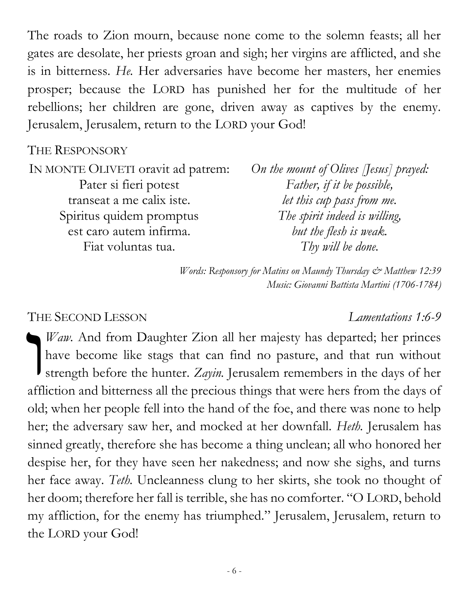The roads to Zion mourn, because none come to the solemn feasts; all her gates are desolate, her priests groan and sigh; her virgins are afflicted, and she is in bitterness. *He.* Her adversaries have become her masters, her enemies prosper; because the LORD has punished her for the multitude of her rebellions; her children are gone, driven away as captives by the enemy. Jerusalem, Jerusalem, return to the LORD your God!

#### THE RESPONSORY

| IN MONTE OLIVETI oravit ad patrem: | On the mount of Olives [Jesus] prayed: |
|------------------------------------|----------------------------------------|
| Pater si fieri potest              | Father, if it be possible,             |
| transeat a me calix iste.          | let this cup pass from me.             |
| Spiritus quidem promptus           | The spirit indeed is willing,          |
| est caro autem infirma.            | but the flesh is weak.                 |
| Fiat voluntas tua.                 | Thy will be done.                      |
|                                    |                                        |

*Words: Responsory for Matins on Maundy Thursday & Matthew 12:39 Music: Giovanni Battista Martini (1706-1784)*

#### THE SECOND LESSON *Lamentations 1:6-9*

*Waw*. And from Daughter Zion all her majesty has departed; her princes have become like stags that can find no pasture, and that run without strength before the hunter. *Zayin.* Jerusalem remembers in the days of her affliction and bitterness all the precious things that were hers from the days of old; when her people fell into the hand of the foe, and there was none to help her; the adversary saw her, and mocked at her downfall. *Heth.* Jerusalem has sinned greatly, therefore she has become a thing unclean; all who honored her despise her, for they have seen her nakedness; and now she sighs, and turns her face away. *Teth.* Uncleanness clung to her skirts, she took no thought of her doom; therefore her fall is terrible, she has no comforter. "O LORD, behold my affliction, for the enemy has triumphed." Jerusalem, Jerusalem, return to the LORD your God! TH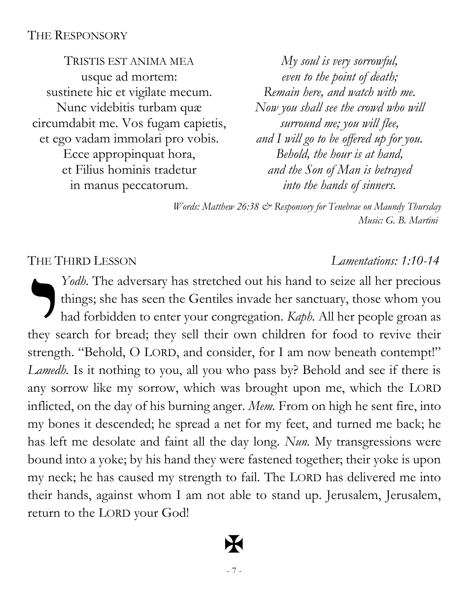#### THE RESPONSORY

TRISTIS EST ANIMA MEA usque ad mortem: sustinete hic et vigilate mecum. Nunc videbitis turbam quæ circumdabit me. Vos fugam capietis, et ego vadam immolari pro vobis. Ecce appropinquat hora, et Filius hominis tradetur in manus peccatorum.

*My soul is very sorrowful, even to the point of death; Remain here, and watch with me. Now you shall see the crowd who will surround me; you will flee, and I will go to be offered up for you. Behold, the hour is at hand, and the Son of Man is betrayed into the hands of sinners.* 

*Words: Matthew 26:38 & Responsory for Tenebrae on Maundy Thursday Music: G. B. Martini*

#### THE THIRD LESSON *Lamentations: 1:10-14*

*Yodh*. The adversary has stretched out his hand to seize all her precious things; she has seen the Gentiles invade her sanctuary, those whom you had forbidden to enter your congregation. *Kaph.* All her people groan as they search for bread; they sell their own children for food to revive their strength. "Behold, O LORD, and consider, for I am now beneath contempt!" *Lamedh.* Is it nothing to you, all you who pass by? Behold and see if there is any sorrow like my sorrow, which was brought upon me, which the LORD inflicted, on the day of his burning anger. *Mem.* From on high he sent fire, into my bones it descended; he spread a net for my feet, and turned me back; he has left me desolate and faint all the day long. *Nun.* My transgressions were bound into a yoke; by his hand they were fastened together; their yoke is upon my neck; he has caused my strength to fail. The LORD has delivered me into their hands, against whom I am not able to stand up. Jerusalem, Jerusalem, return to the LORD your God! THE T

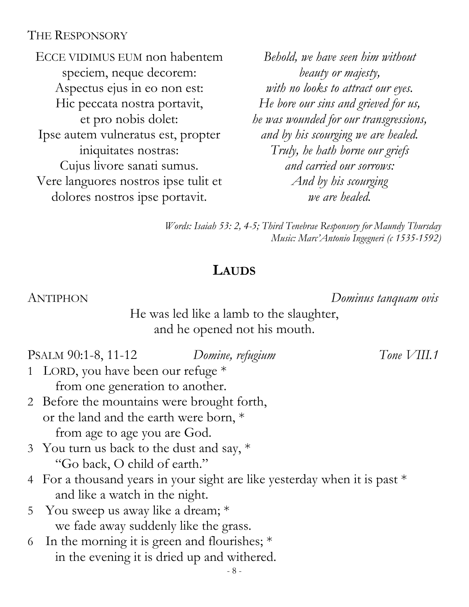#### THE RESPONSORY

ECCE VIDIMUS EUM non habentem speciem, neque decorem: Aspectus ejus in eo non est: Hic peccata nostra portavit, et pro nobis dolet: Ipse autem vulneratus est, propter iniquitates nostras: Cujus livore sanati sumus. Vere languores nostros ipse tulit et dolores nostros ipse portavit.

*Behold, we have seen him without beauty or majesty, with no looks to attract our eyes. He bore our sins and grieved for us, he was wounded for our transgressions, and by his scourging we are healed. Truly, he hath borne our griefs and carried our sorrows: And by his scourging we are healed.*

*Words: Isaiah 53: 2, 4-5; Third Tenebrae Responsory for Maundy Thursday Music: Marc'Antonio Ingegneri (c 1535-1592)* 

#### **LAUDS**

ANTIPHON *Dominus tanquam ovis*

He was led like a lamb to the slaughter, and he opened not his mouth.

PSALM 90:1-8, 11-12 *Domine, refugium Tone VIII.1*

- 1 LORD, you have been our refuge \* from one generation to another.
- 2 Before the mountains were brought forth, or the land and the earth were born, \* from age to age you are God.
- 3 You turn us back to the dust and say, \* "Go back, O child of earth."
- 4 For a thousand years in your sight are like yesterday when it is past \* and like a watch in the night.
- 5 You sweep us away like a dream; \* we fade away suddenly like the grass.
- 6 In the morning it is green and flourishes; \* in the evening it is dried up and withered.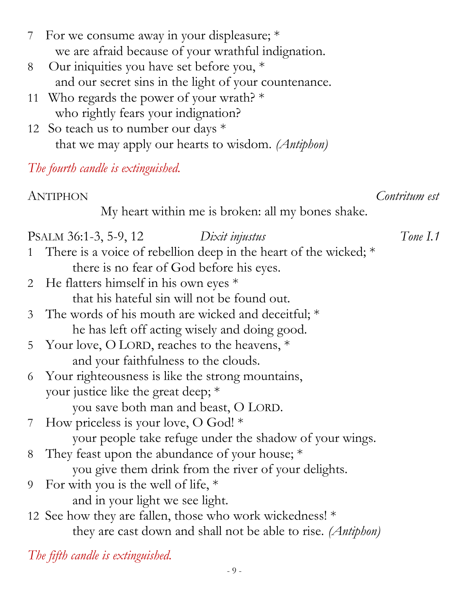| 7 For we consume away in your displeasure; *        |
|-----------------------------------------------------|
| we are afraid because of your wrathful indignation. |

- 8 Our iniquities you have set before you, \* and our secret sins in the light of your countenance.
- 11 Who regards the power of your wrath?  $*$ who rightly fears your indignation?
- 12 So teach us to number our days  $*$ that we may apply our hearts to wisdom. *(Antiphon)*

## *The fourth candle is extinguished.*

ANTIPHON *Contritum est*

My heart within me is broken: all my bones shake.

### PSALM 36:1-3, 5-9, 12 *Dixit injustus Tone I.1* 1 There is a voice of rebellion deep in the heart of the wicked; \* there is no fear of God before his eyes. 2 He flatters himself in his own eyes \* that his hateful sin will not be found out. 3 The words of his mouth are wicked and deceitful; \* he has left off acting wisely and doing good. 5 Your love, O LORD, reaches to the heavens, \* and your faithfulness to the clouds. 6 Your righteousness is like the strong mountains, your justice like the great deep; \* you save both man and beast, O LORD. 7 How priceless is your love, O God! \* your people take refuge under the shadow of your wings. 8 They feast upon the abundance of your house; \* you give them drink from the river of your delights. 9 For with you is the well of life, \* and in your light we see light. 12 See how they are fallen, those who work wickedness! \*

they are cast down and shall not be able to rise. *(Antiphon)*

*The fifth candle is extinguished.*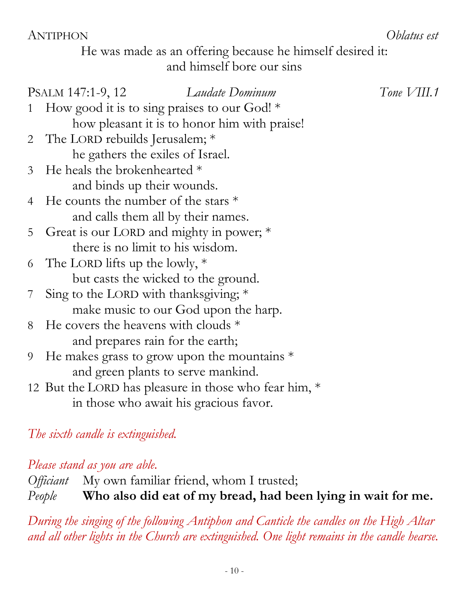#### ANTIPHON *Oblatus est*

He was made as an offering because he himself desired it: and himself bore our sins

|                | Laudate Dominum<br>PSALM 147:1-9, 12                  | Tone $VIII.1$ |
|----------------|-------------------------------------------------------|---------------|
| $\mathbf{1}$   | How good it is to sing praises to our God! $*$        |               |
|                | how pleasant it is to honor him with praise!          |               |
|                | 2 The LORD rebuilds Jerusalem; *                      |               |
|                | he gathers the exiles of Israel.                      |               |
| 3 <sup>7</sup> | He heals the brokenhearted *                          |               |
|                | and binds up their wounds.                            |               |
| $\overline{4}$ | He counts the number of the stars $*$                 |               |
|                | and calls them all by their names.                    |               |
| 5 <sup>1</sup> | Great is our LORD and mighty in power; *              |               |
|                | there is no limit to his wisdom.                      |               |
| 6              | The LORD lifts up the lowly, $*$                      |               |
|                | but casts the wicked to the ground.                   |               |
| 7              | Sing to the LORD with thanks giving; $*$              |               |
|                | make music to our God upon the harp.                  |               |
| 8              | He covers the heavens with clouds *                   |               |
|                | and prepares rain for the earth;                      |               |
| 9              | He makes grass to grow upon the mountains $*$         |               |
|                | and green plants to serve mankind.                    |               |
|                | 12 But the LORD has pleasure in those who fear him, * |               |
|                | in those who await his gracious favor.                |               |
|                |                                                       |               |

### *The sixth candle is extinguished.*

*Please stand as you are able.* 

*Officiant* My own familiar friend, whom I trusted; *People* **Who also did eat of my bread, had been lying in wait for me.**

*During the singing of the following Antiphon and Canticle the candles on the High Altar and all other lights in the Church are extinguished. One light remains in the candle hearse.*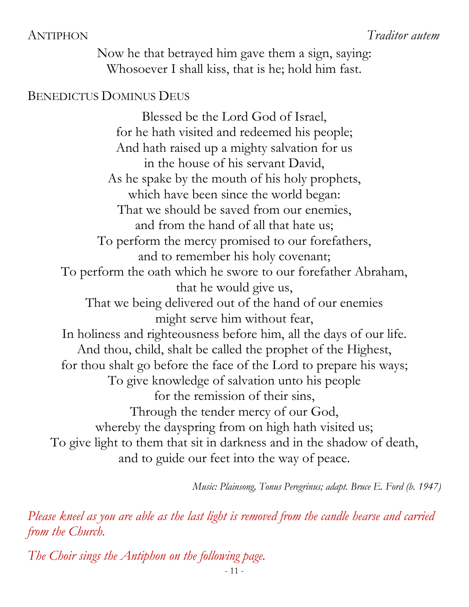Now he that betrayed him gave them a sign, saying: Whosoever I shall kiss, that is he; hold him fast.

#### BENEDICTUS DOMINUS DEUS

Blessed be the Lord God of Israel, for he hath visited and redeemed his people; And hath raised up a mighty salvation for us in the house of his servant David, As he spake by the mouth of his holy prophets, which have been since the world began: That we should be saved from our enemies, and from the hand of all that hate us; To perform the mercy promised to our forefathers, and to remember his holy covenant; To perform the oath which he swore to our forefather Abraham, that he would give us, That we being delivered out of the hand of our enemies might serve him without fear, In holiness and righteousness before him, all the days of our life. And thou, child, shalt be called the prophet of the Highest, for thou shalt go before the face of the Lord to prepare his ways; To give knowledge of salvation unto his people for the remission of their sins, Through the tender mercy of our God, whereby the dayspring from on high hath visited us; To give light to them that sit in darkness and in the shadow of death, and to guide our feet into the way of peace.

*Music: Plainsong, Tonus Peregrinus; adapt. Bruce E. Ford (b. 1947)*

*Please kneel as you are able as the last light is removed from the candle hearse and carried from the Church.*

*The Choir sings the Antiphon on the following page.*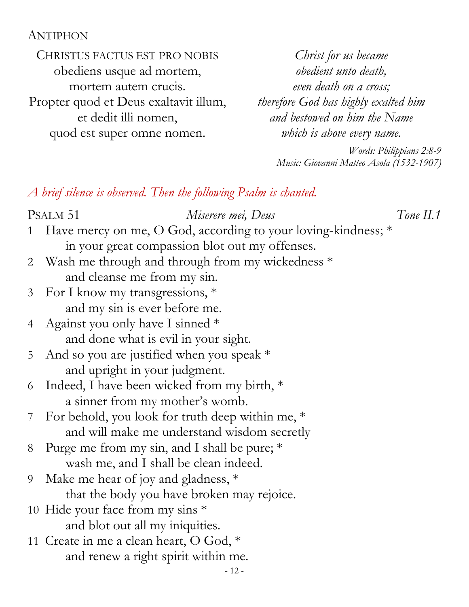#### ANTIPHON

CHRISTUS FACTUS EST PRO NOBIS obediens usque ad mortem, mortem autem crucis. Propter quod et Deus exaltavit illum, et dedit illi nomen, quod est super omne nomen.

*Christ for us became obedient unto death, even death on a cross; therefore God has highly exalted him and bestowed on him the Name which is above every name.*

> *Words: Philippians 2:8-9 Music: Giovanni Matteo Asola (1532-1907)*

*A brief silence is observed. Then the following Psalm is chanted.*

 $-12-$ PSALM 51 *Miserere mei, Deus Tone II.1* 1 Have mercy on me, O God, according to your loving-kindness; \* in your great compassion blot out my offenses. 2 Wash me through and through from my wickedness \* and cleanse me from my sin. 3 For I know my transgressions, \* and my sin is ever before me. 4 Against you only have I sinned \* and done what is evil in your sight. 5 And so you are justified when you speak  $*$  and upright in your judgment. 6 Indeed, I have been wicked from my birth, \* a sinner from my mother's womb. 7 For behold, you look for truth deep within me, \* and will make me understand wisdom secretly 8 Purge me from my sin, and I shall be pure; \* wash me, and I shall be clean indeed. 9 Make me hear of joy and gladness, \* that the body you have broken may rejoice. 10 Hide your face from my sins \* and blot out all my iniquities. 11 Create in me a clean heart, O God, \* and renew a right spirit within me.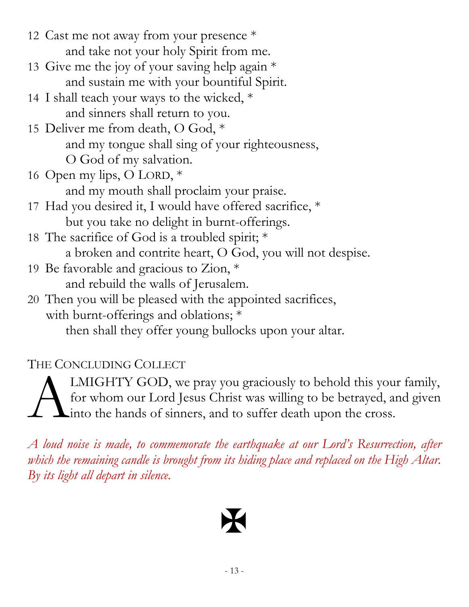- 12 Cast me not away from your presence \* and take not your holy Spirit from me.
- 13 Give me the joy of your saving help again \* and sustain me with your bountiful Spirit.
- 14 I shall teach your ways to the wicked, \* and sinners shall return to you.
- 15 Deliver me from death, O God, \* and my tongue shall sing of your righteousness, O God of my salvation.
- 16 Open my lips, O LORD, \* and my mouth shall proclaim your praise.
- 17 Had you desired it, I would have offered sacrifice, \* but you take no delight in burnt-offerings.
- 18 The sacrifice of God is a troubled spirit; \* a broken and contrite heart, O God, you will not despise.
- 19 Be favorable and gracious to Zion, \* and rebuild the walls of Jerusalem.
- 20 Then you will be pleased with the appointed sacrifices, with burnt-offerings and oblations; \* then shall they offer young bullocks upon your altar.

## THE CONCLUDING COLLECT

LMIGHTY GOD, we pray you graciously to behold this your family, for whom our Lord Jesus Christ was willing to be betrayed, and given into the hands of sinners, and to suffer death upon the cross. A

*A loud noise is made, to commemorate the earthquake at our Lord's Resurrection, after which the remaining candle is brought from its hiding place and replaced on the High Altar. By its light all depart in silence.*

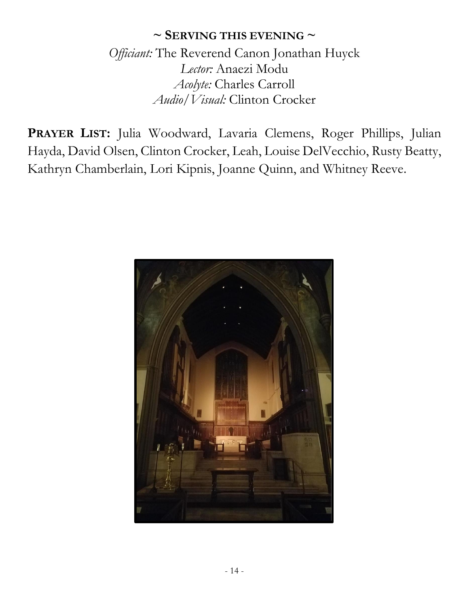#### **~ SERVING THIS EVENING ~**

*Officiant:* The Reverend Canon Jonathan Huyck *Lector:* Anaezi Modu *Acolyte:* Charles Carroll *Audio/Visual:* Clinton Crocker

**PRAYER LIST:** Julia Woodward, Lavaria Clemens, Roger Phillips, Julian Hayda, David Olsen, Clinton Crocker, Leah, Louise DelVecchio, Rusty Beatty, Kathryn Chamberlain, Lori Kipnis, Joanne Quinn, and Whitney Reeve.

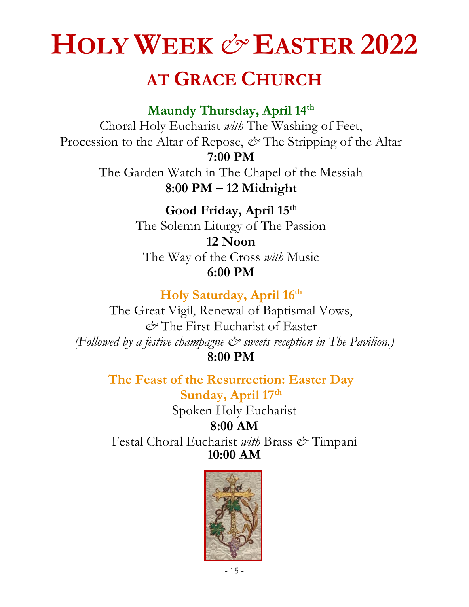# **HOLY WEEK** *&* **EASTER 2022**

# **AT GRACE CHURCH**

**Maundy Thursday, April 14th**

Choral Holy Eucharist *with* The Washing of Feet, Procession to the Altar of Repose,  $\mathcal{O}^{\bullet}$  The Stripping of the Altar **7:00 PM** 

The Garden Watch in The Chapel of the Messiah **8:00 PM – 12 Midnight**

> **Good Friday, April 15th** The Solemn Liturgy of The Passion **12 Noon**  The Way of the Cross *with* Music **6:00 PM**

> > **Holy Saturday, April 16th**

The Great Vigil, Renewal of Baptismal Vows, *&* The First Eucharist of Easter *(Followed by a festive champagne & sweets reception in The Pavilion.)* **8:00 PM** 

> **The Feast of the Resurrection: Easter Day Sunday, April 17th**

> > Spoken Holy Eucharist **8:00 AM**

Festal Choral Eucharist *with* Brass *&* Timpani **10:00 AM**